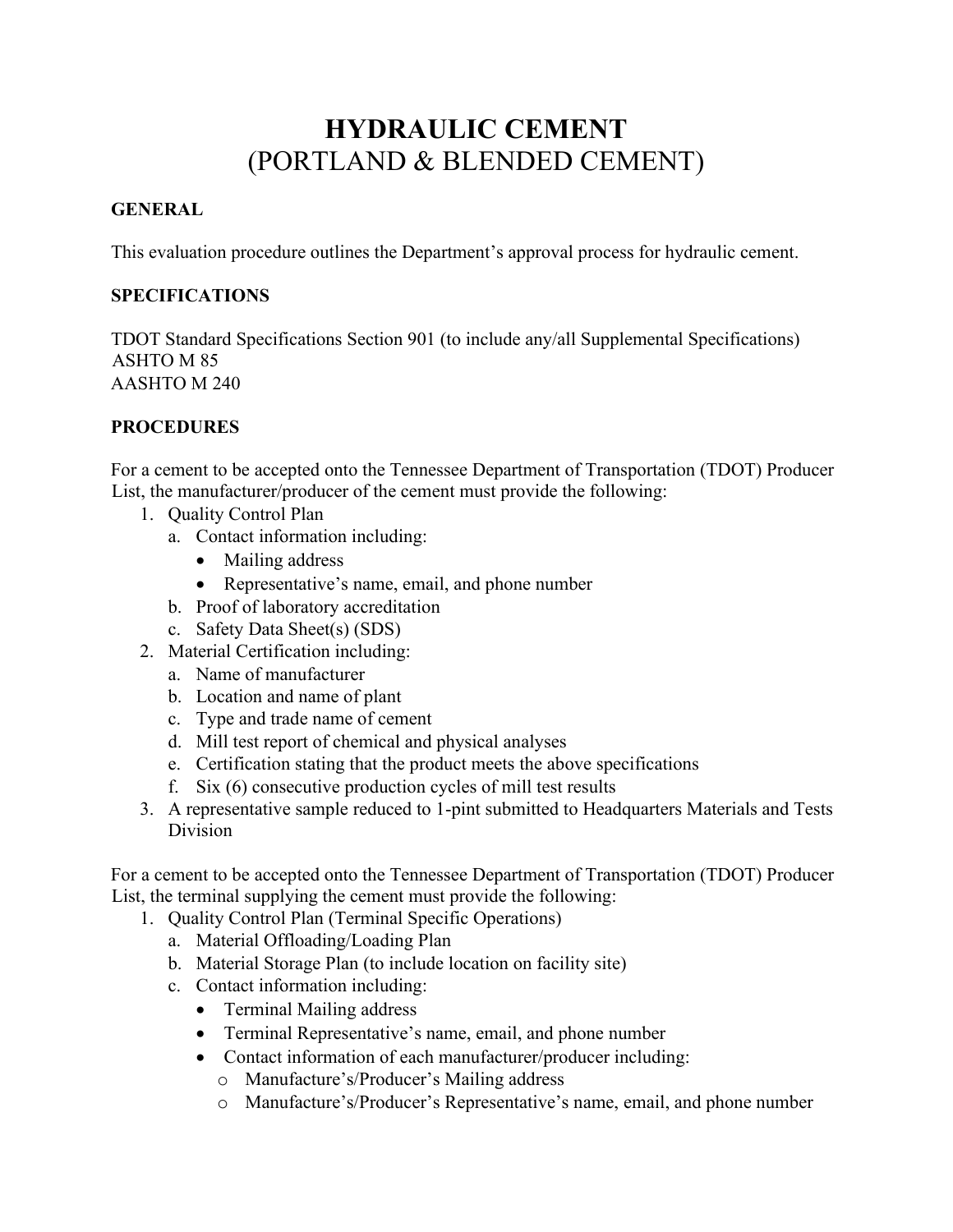## **HYDRAULIC CEMENT** (PORTLAND & BLENDED CEMENT)

## **GENERAL**

This evaluation procedure outlines the Department's approval process for hydraulic cement.

## **SPECIFICATIONS**

TDOT Standard Specifications Section 901 (to include any/all Supplemental Specifications) ASHTO M 85 AASHTO M 240

## **PROCEDURES**

For a cement to be accepted onto the Tennessee Department of Transportation (TDOT) Producer List, the manufacturer/producer of the cement must provide the following:

- 1. Quality Control Plan
	- a. Contact information including:
		- Mailing address
		- Representative's name, email, and phone number
	- b. Proof of laboratory accreditation
	- c. Safety Data Sheet(s) (SDS)
- 2. Material Certification including:
	- a. Name of manufacturer
	- b. Location and name of plant
	- c. Type and trade name of cement
	- d. Mill test report of chemical and physical analyses
	- e. Certification stating that the product meets the above specifications
	- f. Six (6) consecutive production cycles of mill test results
- 3. A representative sample reduced to 1-pint submitted to Headquarters Materials and Tests Division

For a cement to be accepted onto the Tennessee Department of Transportation (TDOT) Producer List, the terminal supplying the cement must provide the following:

- 1. Quality Control Plan (Terminal Specific Operations)
	- a. Material Offloading/Loading Plan
	- b. Material Storage Plan (to include location on facility site)
	- c. Contact information including:
		- Terminal Mailing address
		- Terminal Representative's name, email, and phone number
		- Contact information of each manufacturer/producer including:
			- o Manufacture's/Producer's Mailing address
			- o Manufacture's/Producer's Representative's name, email, and phone number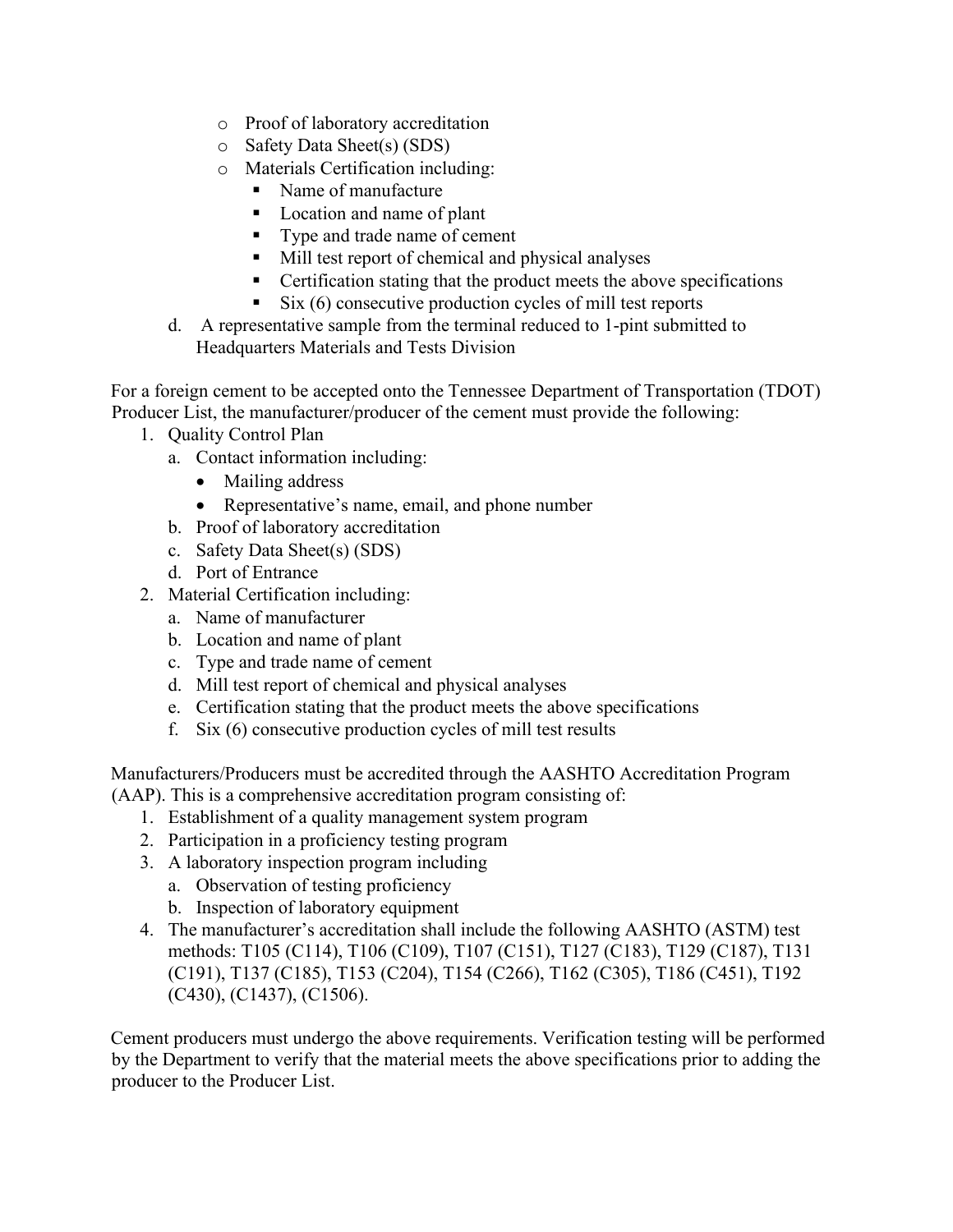- o Proof of laboratory accreditation
- o Safety Data Sheet(s) (SDS)
- o Materials Certification including:
	- Name of manufacture
	- **Location and name of plant**
	- Type and trade name of cement
	- Mill test report of chemical and physical analyses
	- **•** Certification stating that the product meets the above specifications
	- $\sim$  Six (6) consecutive production cycles of mill test reports
- d. A representative sample from the terminal reduced to 1-pint submitted to Headquarters Materials and Tests Division

For a foreign cement to be accepted onto the Tennessee Department of Transportation (TDOT) Producer List, the manufacturer/producer of the cement must provide the following:

- 1. Quality Control Plan
	- a. Contact information including:
		- Mailing address
		- Representative's name, email, and phone number
	- b. Proof of laboratory accreditation
	- c. Safety Data Sheet(s) (SDS)
	- d. Port of Entrance
- 2. Material Certification including:
	- a. Name of manufacturer
	- b. Location and name of plant
	- c. Type and trade name of cement
	- d. Mill test report of chemical and physical analyses
	- e. Certification stating that the product meets the above specifications
	- f. Six (6) consecutive production cycles of mill test results

Manufacturers/Producers must be accredited through the AASHTO Accreditation Program

(AAP). This is a comprehensive accreditation program consisting of:

- 1. Establishment of a quality management system program
- 2. Participation in a proficiency testing program
- 3. A laboratory inspection program including
	- a. Observation of testing proficiency
	- b. Inspection of laboratory equipment
- 4. The manufacturer's accreditation shall include the following AASHTO (ASTM) test methods: T105 (C114), T106 (C109), T107 (C151), T127 (C183), T129 (C187), T131 (C191), T137 (C185), T153 (C204), T154 (C266), T162 (C305), T186 (C451), T192 (C430), (C1437), (C1506).

Cement producers must undergo the above requirements. Verification testing will be performed by the Department to verify that the material meets the above specifications prior to adding the producer to the Producer List.